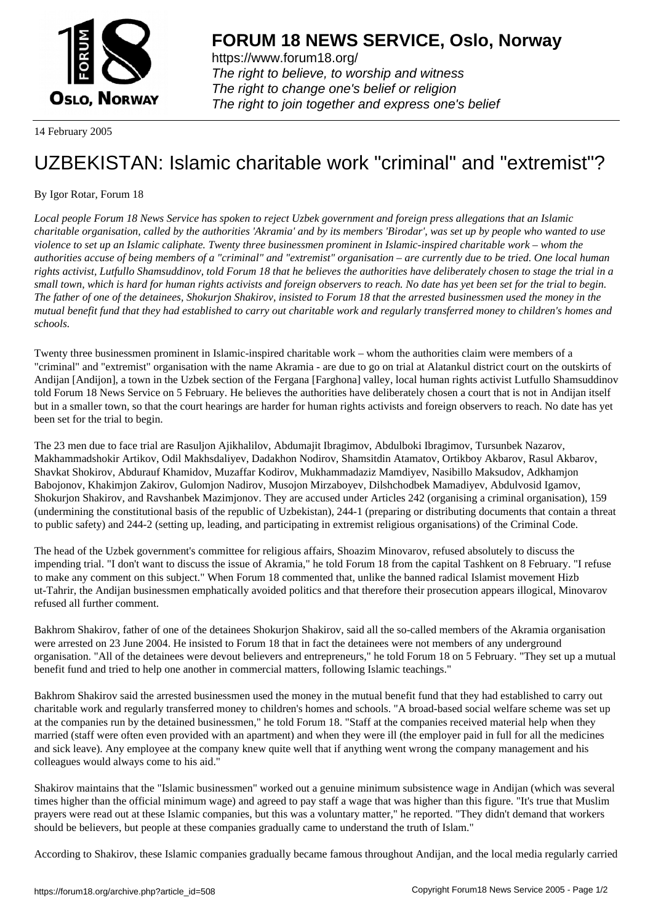

https://www.forum18.org/ The right to believe, to worship and witness The right to change one's belief or religion [The right to join together a](https://www.forum18.org/)nd express one's belief

14 February 2005

## [UZBEKISTAN:](https://www.forum18.org) Islamic charitable work "criminal" and "extremist"?

## By Igor Rotar, Forum 18

*Local people Forum 18 News Service has spoken to reject Uzbek government and foreign press allegations that an Islamic charitable organisation, called by the authorities 'Akramia' and by its members 'Birodar', was set up by people who wanted to use violence to set up an Islamic caliphate. Twenty three businessmen prominent in Islamic-inspired charitable work – whom the authorities accuse of being members of a "criminal" and "extremist" organisation – are currently due to be tried. One local human rights activist, Lutfullo Shamsuddinov, told Forum 18 that he believes the authorities have deliberately chosen to stage the trial in a small town, which is hard for human rights activists and foreign observers to reach. No date has yet been set for the trial to begin. The father of one of the detainees, Shokurjon Shakirov, insisted to Forum 18 that the arrested businessmen used the money in the mutual benefit fund that they had established to carry out charitable work and regularly transferred money to children's homes and schools.*

Twenty three businessmen prominent in Islamic-inspired charitable work – whom the authorities claim were members of a "criminal" and "extremist" organisation with the name Akramia - are due to go on trial at Alatankul district court on the outskirts of Andijan [Andijon], a town in the Uzbek section of the Fergana [Farghona] valley, local human rights activist Lutfullo Shamsuddinov told Forum 18 News Service on 5 February. He believes the authorities have deliberately chosen a court that is not in Andijan itself but in a smaller town, so that the court hearings are harder for human rights activists and foreign observers to reach. No date has yet been set for the trial to begin.

The 23 men due to face trial are Rasuljon Ajikhalilov, Abdumajit Ibragimov, Abdulboki Ibragimov, Tursunbek Nazarov, Makhammadshokir Artikov, Odil Makhsdaliyev, Dadakhon Nodirov, Shamsitdin Atamatov, Ortikboy Akbarov, Rasul Akbarov, Shavkat Shokirov, Abdurauf Khamidov, Muzaffar Kodirov, Mukhammadaziz Mamdiyev, Nasibillo Maksudov, Adkhamjon Babojonov, Khakimjon Zakirov, Gulomjon Nadirov, Musojon Mirzaboyev, Dilshchodbek Mamadiyev, Abdulvosid Igamov, Shokurjon Shakirov, and Ravshanbek Mazimjonov. They are accused under Articles 242 (organising a criminal organisation), 159 (undermining the constitutional basis of the republic of Uzbekistan), 244-1 (preparing or distributing documents that contain a threat to public safety) and 244-2 (setting up, leading, and participating in extremist religious organisations) of the Criminal Code.

The head of the Uzbek government's committee for religious affairs, Shoazim Minovarov, refused absolutely to discuss the impending trial. "I don't want to discuss the issue of Akramia," he told Forum 18 from the capital Tashkent on 8 February. "I refuse to make any comment on this subject." When Forum 18 commented that, unlike the banned radical Islamist movement Hizb ut-Tahrir, the Andijan businessmen emphatically avoided politics and that therefore their prosecution appears illogical, Minovarov refused all further comment.

Bakhrom Shakirov, father of one of the detainees Shokurjon Shakirov, said all the so-called members of the Akramia organisation were arrested on 23 June 2004. He insisted to Forum 18 that in fact the detainees were not members of any underground organisation. "All of the detainees were devout believers and entrepreneurs," he told Forum 18 on 5 February. "They set up a mutual benefit fund and tried to help one another in commercial matters, following Islamic teachings."

Bakhrom Shakirov said the arrested businessmen used the money in the mutual benefit fund that they had established to carry out charitable work and regularly transferred money to children's homes and schools. "A broad-based social welfare scheme was set up at the companies run by the detained businessmen," he told Forum 18. "Staff at the companies received material help when they married (staff were often even provided with an apartment) and when they were ill (the employer paid in full for all the medicines and sick leave). Any employee at the company knew quite well that if anything went wrong the company management and his colleagues would always come to his aid."

Shakirov maintains that the "Islamic businessmen" worked out a genuine minimum subsistence wage in Andijan (which was several times higher than the official minimum wage) and agreed to pay staff a wage that was higher than this figure. "It's true that Muslim prayers were read out at these Islamic companies, but this was a voluntary matter," he reported. "They didn't demand that workers should be believers, but people at these companies gradually came to understand the truth of Islam."

According to Shakirov, these Islamic companies gradually became famous throughout Andijan, and the local media regularly carried